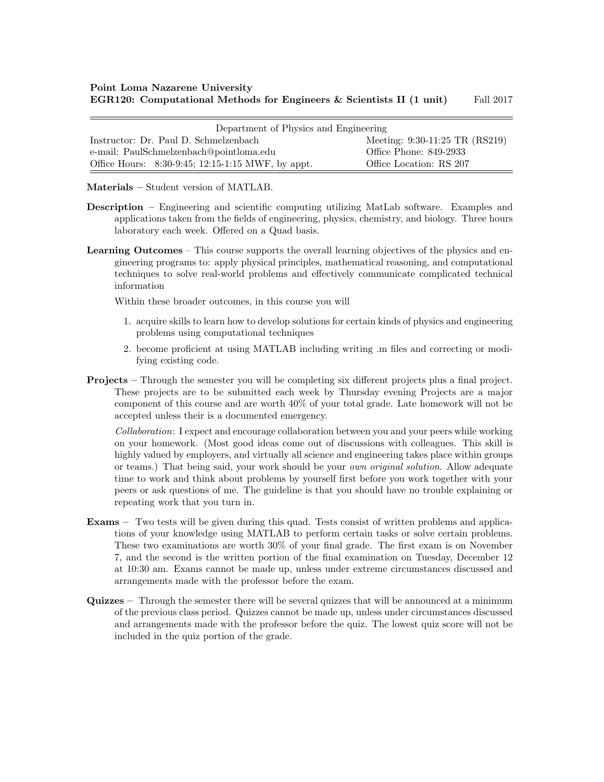| Department of Physics and Engineering             |                                |  |  |  |
|---------------------------------------------------|--------------------------------|--|--|--|
| Instructor: Dr. Paul D. Schmelzenbach             | Meeting: 9:30-11:25 TR (RS219) |  |  |  |
| e-mail: PaulSchmelzenbach@pointloma.edu           | Office Phone: 849-2933         |  |  |  |
| Office Hours: 8:30-9:45; 12:15-1:15 MWF, by appt. | Office Location: RS 207        |  |  |  |

Materials – Student version of MATLAB.

- Description Engineering and scientific computing utilizing MatLab software. Examples and applications taken from the fields of engineering, physics, chemistry, and biology. Three hours laboratory each week. Offered on a Quad basis.
- Learning Outcomes This course supports the overall learning objectives of the physics and engineering programs to: apply physical principles, mathematical reasoning, and computational techniques to solve real-world problems and effectively communicate complicated technical information

Within these broader outcomes, in this course you will

- 1. acquire skills to learn how to develop solutions for certain kinds of physics and engineering problems using computational techniques
- 2. become proficient at using MATLAB including writing .m files and correcting or modifying existing code.
- **Projects** Through the semester you will be completing six different projects plus a final project. These projects are to be submitted each week by Thursday evening Projects are a major component of this course and are worth 40% of your total grade. Late homework will not be accepted unless their is a documented emergency.

*Collaboration*: I expect and encourage collaboration between you and your peers while working on your homework. (Most good ideas come out of discussions with colleagues. This skill is highly valued by employers, and virtually all science and engineering takes place within groups or teams.) That being said, your work should be your *own original solution*. Allow adequate time to work and think about problems by yourself first before you work together with your peers or ask questions of me. The guideline is that you should have no trouble explaining or repeating work that you turn in.

- Exams Two tests will be given during this quad. Tests consist of written problems and applications of your knowledge using MATLAB to perform certain tasks or solve certain problems. These two examinations are worth 30% of your final grade. The first exam is on November 7, and the second is the written portion of the final examination on Tuesday, December 12 at 10:30 am. Exams cannot be made up, unless under extreme circumstances discussed and arrangements made with the professor before the exam.
- Quizzes Through the semester there will be several quizzes that will be announced at a minimum of the previous class period. Quizzes cannot be made up, unless under circumstances discussed and arrangements made with the professor before the quiz. The lowest quiz score will not be included in the quiz portion of the grade.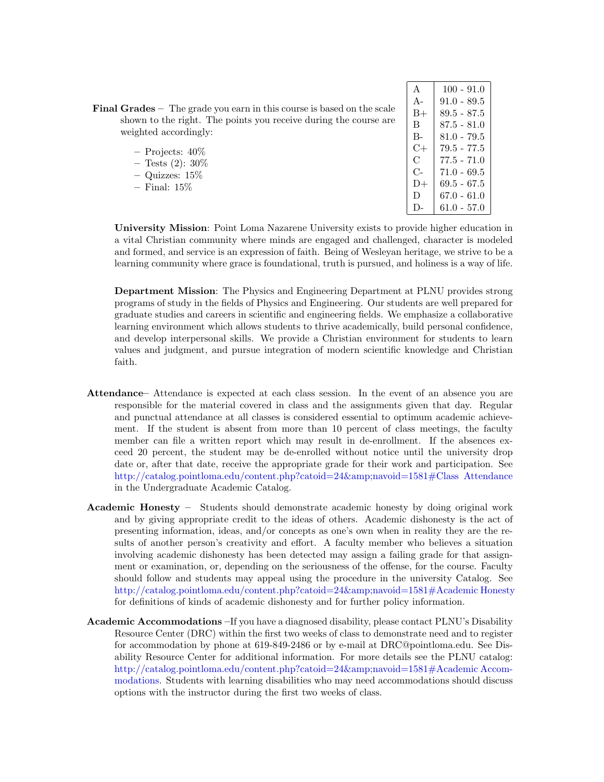| $\mathbf{A}$ | $100 - 91.0$    |
|--------------|-----------------|
| $A -$        | $91.0 - 89.5$   |
| B+           | $89.5 - 87.5$   |
| В            | $87.5 - 81.0$   |
| $B -$        | 81.0 - 79.5     |
| C+           | 79.5 - 77.5     |
| C            | $77.5 - 71.0$   |
| C-           | $71.0 - 69.5$   |
| D+           | 69.5 - 67.5     |
| D            | 67.0 - 61.0     |
| $\mathsf{D}$ | $61.0$ - $57.0$ |

Final Grades – The grade you earn in this course is based on the scale shown to the right. The points you receive during the course are weighted accordingly:

| Projects: $40\%$  |  |
|-------------------|--|
| Tests $(2)$ : 30% |  |

- Quizzes: 15%
- Final: 15%

University Mission: Point Loma Nazarene University exists to provide higher education in a vital Christian community where minds are engaged and challenged, character is modeled and formed, and service is an expression of faith. Being of Wesleyan heritage, we strive to be a learning community where grace is foundational, truth is pursued, and holiness is a way of life.

Department Mission: The Physics and Engineering Department at PLNU provides strong programs of study in the fields of Physics and Engineering. Our students are well prepared for graduate studies and careers in scientific and engineering fields. We emphasize a collaborative learning environment which allows students to thrive academically, build personal confidence, and develop interpersonal skills. We provide a Christian environment for students to learn values and judgment, and pursue integration of modern scientific knowledge and Christian faith.

- Attendance– Attendance is expected at each class session. In the event of an absence you are responsible for the material covered in class and the assignments given that day. Regular and punctual attendance at all classes is considered essential to optimum academic achievement. If the student is absent from more than 10 percent of class meetings, the faculty member can file a written report which may result in de-enrollment. If the absences exceed 20 percent, the student may be de-enrolled without notice until the university drop date or, after that date, receive the appropriate grade for their work and participation. See [http://catalog.pointloma.edu/content.php?catoid=24&navoid=1581#Class Attendance](http://catalog.pointloma.edu/content.php?catoid=24&navoid=1581) in the Undergraduate Academic Catalog.
- Academic Honesty Students should demonstrate academic honesty by doing original work and by giving appropriate credit to the ideas of others. Academic dishonesty is the act of presenting information, ideas, and/or concepts as one's own when in reality they are the results of another person's creativity and effort. A faculty member who believes a situation involving academic dishonesty has been detected may assign a failing grade for that assignment or examination, or, depending on the seriousness of the offense, for the course. Faculty should follow and students may appeal using the procedure in the university Catalog. See [http://catalog.pointloma.edu/content.php?catoid=24&navoid=1581#Academic Honesty](http://catalog.pointloma.edu/content.php?catoid=24&navoid=1581) for definitions of kinds of academic dishonesty and for further policy information.
- Academic Accommodations –If you have a diagnosed disability, please contact PLNU's Disability Resource Center (DRC) within the first two weeks of class to demonstrate need and to register for accommodation by phone at 619-849-2486 or by e-mail at DRC@pointloma.edu. See Disability Resource Center for additional information. For more details see the PLNU catalog: [http://catalog.pointloma.edu/content.php?catoid=24&navoid=1581#Academic Accom](http://catalog.pointloma.edu/content.php?catoid=24&navoid=1581)[modations.](http://catalog.pointloma.edu/content.php?catoid=24&navoid=1581) Students with learning disabilities who may need accommodations should discuss options with the instructor during the first two weeks of class.